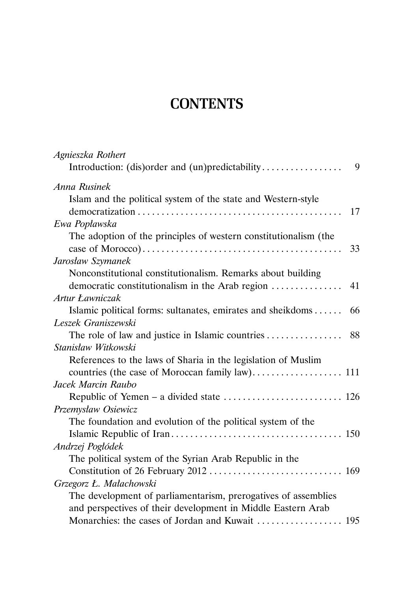## **CONTENTS**

| Agnieszka Rothert<br>Introduction: (dis)order and (un)predictability<br>9 |
|---------------------------------------------------------------------------|
| Anna Rusinek                                                              |
| Islam and the political system of the state and Western-style             |
| 17                                                                        |
| Ewa Popławska                                                             |
| The adoption of the principles of western constitutionalism (the          |
| 33                                                                        |
| Jarosław Szymanek                                                         |
| Nonconstitutional constitutionalism. Remarks about building               |
| democratic constitutionalism in the Arab region<br>41                     |
| Artur Ławniczak                                                           |
| Islamic political forms: sultanates, emirates and sheikdoms<br>66         |
| Leszek Graniszewski                                                       |
| The role of law and justice in Islamic countries<br>88                    |
| Stanisław Witkowski                                                       |
| References to the laws of Sharia in the legislation of Muslim             |
|                                                                           |
| Jacek Marcin Raubo                                                        |
|                                                                           |
| Przemysław Osiewicz                                                       |
| The foundation and evolution of the political system of the               |
|                                                                           |
| Andrzej Pogłódek                                                          |
| The political system of the Syrian Arab Republic in the                   |
|                                                                           |
| Grzegorz Ł. Małachowski                                                   |
| The development of parliamentarism, prerogatives of assemblies            |
| and perspectives of their development in Middle Eastern Arab              |
|                                                                           |